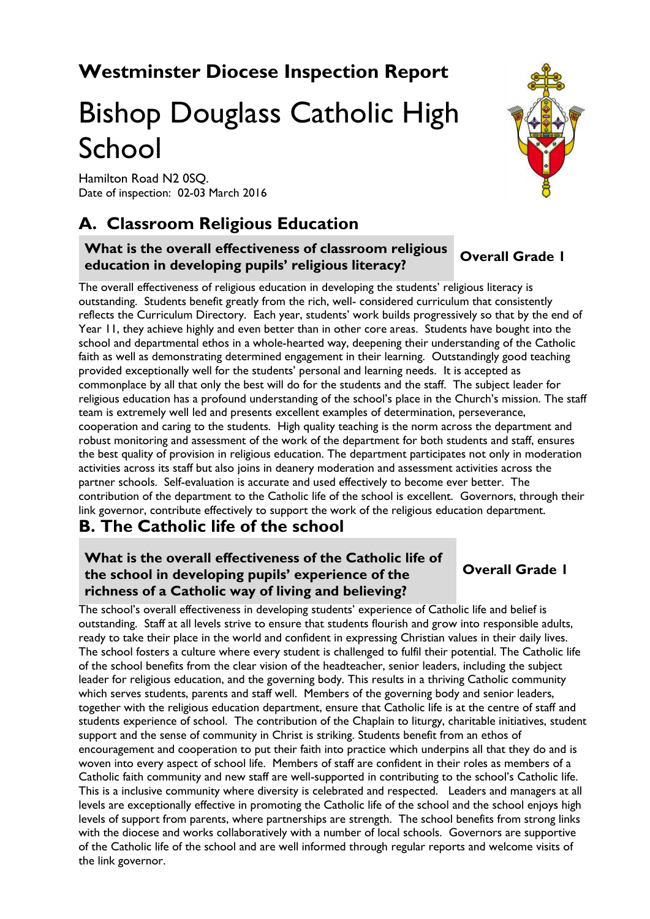# **Westminster Diocese Inspection Report**

# Bishop Douglass Catholic High School

Hamilton Road N2 0SQ. Date of inspection: 02-03 March 2016

# **A. Classroom Religious Education**

#### **What is the overall effectiveness of classroom religious education in developing pupils' religious literacy? Overall Grade 1**

The overall effectiveness of religious education in developing the students' religious literacy is outstanding. Students benefit greatly from the rich, well- considered curriculum that consistently reflects the Curriculum Directory. Each year, students' work builds progressively so that by the end of Year 11, they achieve highly and even better than in other core areas. Students have bought into the school and departmental ethos in a whole-hearted way, deepening their understanding of the Catholic faith as well as demonstrating determined engagement in their learning. Outstandingly good teaching provided exceptionally well for the students' personal and learning needs. It is accepted as commonplace by all that only the best will do for the students and the staff. The subject leader for religious education has a profound understanding of the school's place in the Church's mission. The staff team is extremely well led and presents excellent examples of determination, perseverance, cooperation and caring to the students. High quality teaching is the norm across the department and robust monitoring and assessment of the work of the department for both students and staff, ensures the best quality of provision in religious education. The department participates not only in moderation activities across its staff but also joins in deanery moderation and assessment activities across the partner schools. Self-evaluation is accurate and used effectively to become ever better. The contribution of the department to the Catholic life of the school is excellent. Governors, through their link governor, contribute effectively to support the work of the religious education department.

### **B. The Catholic life of the school**

### **What is the overall effectiveness of the Catholic life of the school in developing pupils' experience of the richness of a Catholic way of living and believing?**

The school's overall effectiveness in developing students' experience of Catholic life and belief is outstanding. Staff at all levels strive to ensure that students flourish and grow into responsible adults, ready to take their place in the world and confident in expressing Christian values in their daily lives. The school fosters a culture where every student is challenged to fulfil their potential. The Catholic life of the school benefits from the clear vision of the headteacher, senior leaders, including the subject leader for religious education, and the governing body. This results in a thriving Catholic community which serves students, parents and staff well. Members of the governing body and senior leaders, together with the religious education department, ensure that Catholic life is at the centre of staff and students experience of school. The contribution of the Chaplain to liturgy, charitable initiatives, student support and the sense of community in Christ is striking. Students benefit from an ethos of encouragement and cooperation to put their faith into practice which underpins all that they do and is woven into every aspect of school life. Members of staff are confident in their roles as members of a Catholic faith community and new staff are well-supported in contributing to the school's Catholic life. This is a inclusive community where diversity is celebrated and respected. Leaders and managers at all levels are exceptionally effective in promoting the Catholic life of the school and the school enjoys high levels of support from parents, where partnerships are strength. The school benefits from strong links with the diocese and works collaboratively with a number of local schools. Governors are supportive of the Catholic life of the school and are well informed through regular reports and welcome visits of the link governor.



# **Overall Grade 1**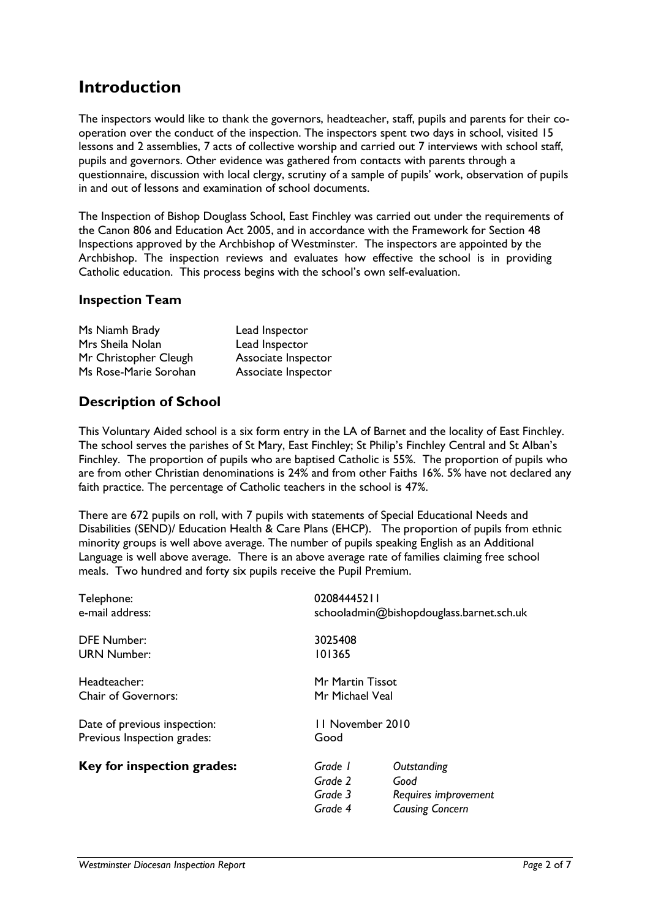## **Introduction**

The inspectors would like to thank the governors, headteacher, staff, pupils and parents for their cooperation over the conduct of the inspection. The inspectors spent two days in school, visited 15 lessons and 2 assemblies, 7 acts of collective worship and carried out 7 interviews with school staff, pupils and governors. Other evidence was gathered from contacts with parents through a questionnaire, discussion with local clergy, scrutiny of a sample of pupils' work, observation of pupils in and out of lessons and examination of school documents.

The Inspection of Bishop Douglass School, East Finchley was carried out under the requirements of the Canon 806 and Education Act 2005, and in accordance with the Framework for Section 48 Inspections approved by the Archbishop of Westminster. The inspectors are appointed by the Archbishop. The inspection reviews and evaluates how effective the school is in providing Catholic education. This process begins with the school's own self-evaluation.

#### **Inspection Team**

| Ms Niamh Brady        | Lead Inspector      |
|-----------------------|---------------------|
| Mrs Sheila Nolan      | Lead Inspector      |
| Mr Christopher Cleugh | Associate Inspector |
| Ms Rose-Marie Sorohan | Associate Inspector |

### **Description of School**

This Voluntary Aided school is a six form entry in the LA of Barnet and the locality of East Finchley. The school serves the parishes of St Mary, East Finchley; St Philip's Finchley Central and St Alban's Finchley. The proportion of pupils who are baptised Catholic is 55%. The proportion of pupils who are from other Christian denominations is 24% and from other Faiths 16%. 5% have not declared any faith practice. The percentage of Catholic teachers in the school is 47%.

There are 672 pupils on roll, with 7 pupils with statements of Special Educational Needs and Disabilities (SEND)/ Education Health & Care Plans (EHCP). The proportion of pupils from ethnic minority groups is well above average. The number of pupils speaking English as an Additional Language is well above average. There is an above average rate of families claiming free school meals. Two hundred and forty six pupils receive the Pupil Premium.

| Telephone:<br>e-mail address:                               |                                          | 02084445211<br>schooladmin@bishopdouglass.barnet.sch.uk               |  |
|-------------------------------------------------------------|------------------------------------------|-----------------------------------------------------------------------|--|
| <b>DFE Number:</b><br><b>URN Number:</b>                    | 3025408<br>101365                        |                                                                       |  |
| Headteacher:<br><b>Chair of Governors:</b>                  |                                          | Mr Martin Tissot<br>Mr Michael Veal                                   |  |
| Date of previous inspection:<br>Previous Inspection grades: | Good                                     | 11 November 2010                                                      |  |
| Key for inspection grades:                                  | Grade 1<br>Grade 2<br>Grade 3<br>Grade 4 | Outstanding<br>Good<br>Requires improvement<br><b>Causing Concern</b> |  |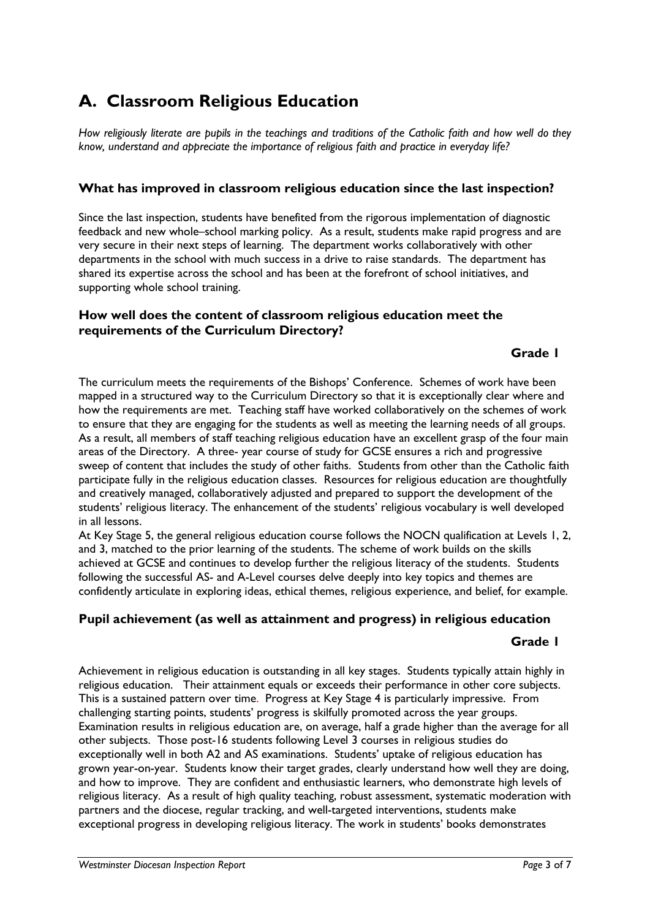# **A. Classroom Religious Education**

*How religiously literate are pupils in the teachings and traditions of the Catholic faith and how well do they know, understand and appreciate the importance of religious faith and practice in everyday life?*

#### **What has improved in classroom religious education since the last inspection?**

Since the last inspection, students have benefited from the rigorous implementation of diagnostic feedback and new whole–school marking policy. As a result, students make rapid progress and are very secure in their next steps of learning. The department works collaboratively with other departments in the school with much success in a drive to raise standards. The department has shared its expertise across the school and has been at the forefront of school initiatives, and supporting whole school training.

#### **How well does the content of classroom religious education meet the requirements of the Curriculum Directory?**

#### **Grade 1**

The curriculum meets the requirements of the Bishops' Conference. Schemes of work have been mapped in a structured way to the Curriculum Directory so that it is exceptionally clear where and how the requirements are met. Teaching staff have worked collaboratively on the schemes of work to ensure that they are engaging for the students as well as meeting the learning needs of all groups. As a result, all members of staff teaching religious education have an excellent grasp of the four main areas of the Directory. A three- year course of study for GCSE ensures a rich and progressive sweep of content that includes the study of other faiths. Students from other than the Catholic faith participate fully in the religious education classes. Resources for religious education are thoughtfully and creatively managed, collaboratively adjusted and prepared to support the development of the students' religious literacy. The enhancement of the students' religious vocabulary is well developed in all lessons.

At Key Stage 5, the general religious education course follows the NOCN qualification at Levels 1, 2, and 3, matched to the prior learning of the students. The scheme of work builds on the skills achieved at GCSE and continues to develop further the religious literacy of the students. Students following the successful AS- and A-Level courses delve deeply into key topics and themes are confidently articulate in exploring ideas, ethical themes, religious experience, and belief, for example.

#### **Pupil achievement (as well as attainment and progress) in religious education**

#### **Grade 1**

Achievement in religious education is outstanding in all key stages. Students typically attain highly in religious education. Their attainment equals or exceeds their performance in other core subjects. This is a sustained pattern over time. Progress at Key Stage 4 is particularly impressive. From challenging starting points, students' progress is skilfully promoted across the year groups. Examination results in religious education are, on average, half a grade higher than the average for all other subjects. Those post-16 students following Level 3 courses in religious studies do exceptionally well in both A2 and AS examinations. Students' uptake of religious education has grown year-on-year. Students know their target grades, clearly understand how well they are doing, and how to improve. They are confident and enthusiastic learners, who demonstrate high levels of religious literacy. As a result of high quality teaching, robust assessment, systematic moderation with partners and the diocese, regular tracking, and well-targeted interventions, students make exceptional progress in developing religious literacy. The work in students' books demonstrates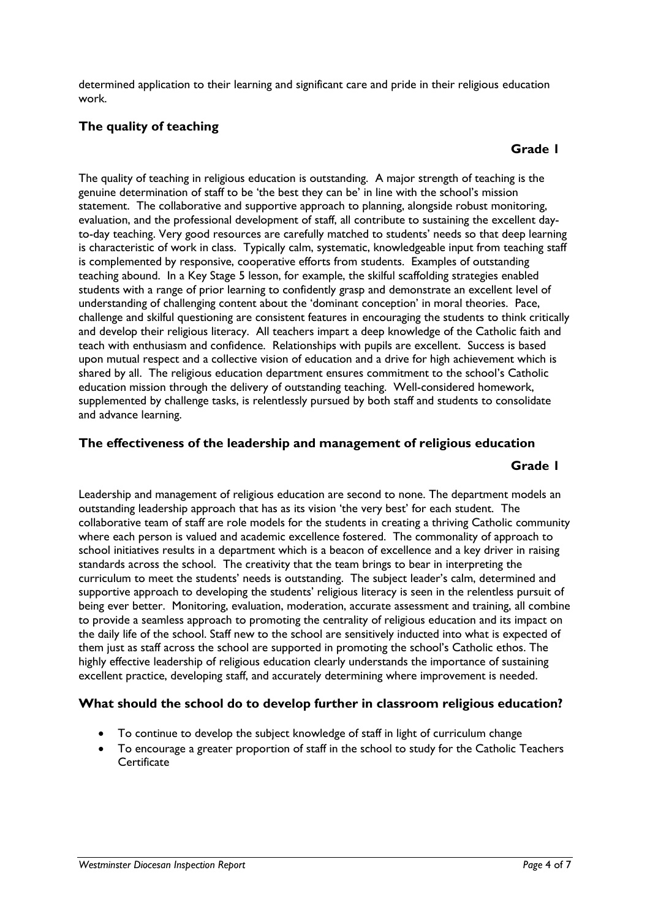determined application to their learning and significant care and pride in their religious education work.

#### **The quality of teaching**

#### **Grade 1**

The quality of teaching in religious education is outstanding. A major strength of teaching is the genuine determination of staff to be 'the best they can be' in line with the school's mission statement. The collaborative and supportive approach to planning, alongside robust monitoring, evaluation, and the professional development of staff, all contribute to sustaining the excellent dayto-day teaching. Very good resources are carefully matched to students' needs so that deep learning is characteristic of work in class. Typically calm, systematic, knowledgeable input from teaching staff is complemented by responsive, cooperative efforts from students. Examples of outstanding teaching abound. In a Key Stage 5 lesson, for example, the skilful scaffolding strategies enabled students with a range of prior learning to confidently grasp and demonstrate an excellent level of understanding of challenging content about the 'dominant conception' in moral theories. Pace, challenge and skilful questioning are consistent features in encouraging the students to think critically and develop their religious literacy. All teachers impart a deep knowledge of the Catholic faith and teach with enthusiasm and confidence. Relationships with pupils are excellent. Success is based upon mutual respect and a collective vision of education and a drive for high achievement which is shared by all. The religious education department ensures commitment to the school's Catholic education mission through the delivery of outstanding teaching. Well-considered homework, supplemented by challenge tasks, is relentlessly pursued by both staff and students to consolidate and advance learning.

#### **The effectiveness of the leadership and management of religious education**

#### **Grade 1**

Leadership and management of religious education are second to none. The department models an outstanding leadership approach that has as its vision 'the very best' for each student. The collaborative team of staff are role models for the students in creating a thriving Catholic community where each person is valued and academic excellence fostered. The commonality of approach to school initiatives results in a department which is a beacon of excellence and a key driver in raising standards across the school. The creativity that the team brings to bear in interpreting the curriculum to meet the students' needs is outstanding. The subject leader's calm, determined and supportive approach to developing the students' religious literacy is seen in the relentless pursuit of being ever better. Monitoring, evaluation, moderation, accurate assessment and training, all combine to provide a seamless approach to promoting the centrality of religious education and its impact on the daily life of the school. Staff new to the school are sensitively inducted into what is expected of them just as staff across the school are supported in promoting the school's Catholic ethos. The highly effective leadership of religious education clearly understands the importance of sustaining excellent practice, developing staff, and accurately determining where improvement is needed.

#### **What should the school do to develop further in classroom religious education?**

- To continue to develop the subject knowledge of staff in light of curriculum change
- To encourage a greater proportion of staff in the school to study for the Catholic Teachers **Certificate**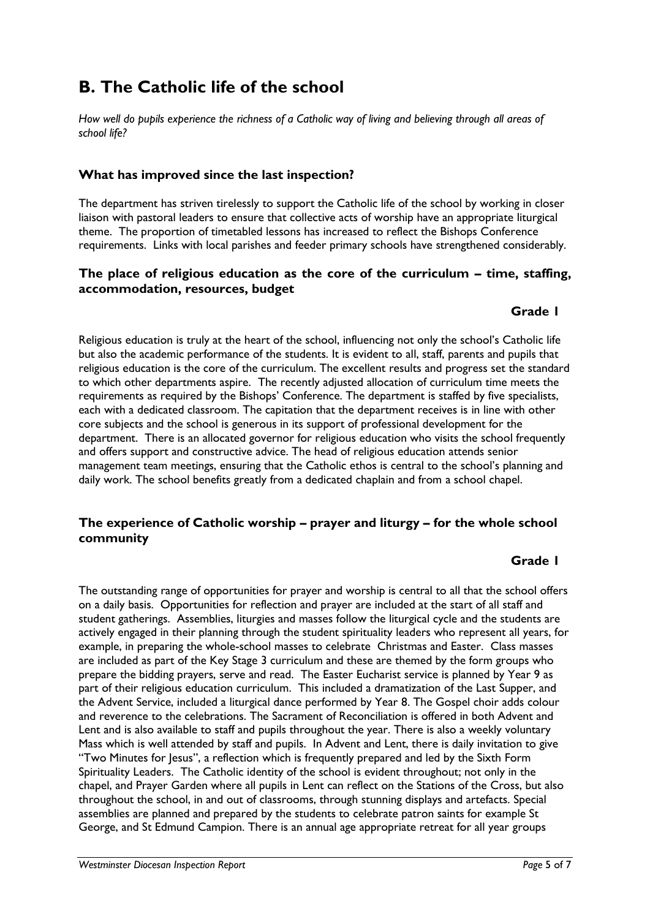# **B. The Catholic life of the school**

*How well do pupils experience the richness of a Catholic way of living and believing through all areas of school life?*

#### **What has improved since the last inspection?**

The department has striven tirelessly to support the Catholic life of the school by working in closer liaison with pastoral leaders to ensure that collective acts of worship have an appropriate liturgical theme. The proportion of timetabled lessons has increased to reflect the Bishops Conference requirements. Links with local parishes and feeder primary schools have strengthened considerably.

#### **The place of religious education as the core of the curriculum – time, staffing, accommodation, resources, budget**

#### **Grade 1**

Religious education is truly at the heart of the school, influencing not only the school's Catholic life but also the academic performance of the students. It is evident to all, staff, parents and pupils that religious education is the core of the curriculum. The excellent results and progress set the standard to which other departments aspire. The recently adjusted allocation of curriculum time meets the requirements as required by the Bishops' Conference. The department is staffed by five specialists, each with a dedicated classroom. The capitation that the department receives is in line with other core subjects and the school is generous in its support of professional development for the department. There is an allocated governor for religious education who visits the school frequently and offers support and constructive advice. The head of religious education attends senior management team meetings, ensuring that the Catholic ethos is central to the school's planning and daily work. The school benefits greatly from a dedicated chaplain and from a school chapel.

#### **The experience of Catholic worship – prayer and liturgy – for the whole school community**

#### **Grade 1**

The outstanding range of opportunities for prayer and worship is central to all that the school offers on a daily basis. Opportunities for reflection and prayer are included at the start of all staff and student gatherings. Assemblies, liturgies and masses follow the liturgical cycle and the students are actively engaged in their planning through the student spirituality leaders who represent all years, for example, in preparing the whole-school masses to celebrate Christmas and Easter. Class masses are included as part of the Key Stage 3 curriculum and these are themed by the form groups who prepare the bidding prayers, serve and read. The Easter Eucharist service is planned by Year 9 as part of their religious education curriculum. This included a dramatization of the Last Supper, and the Advent Service, included a liturgical dance performed by Year 8. The Gospel choir adds colour and reverence to the celebrations. The Sacrament of Reconciliation is offered in both Advent and Lent and is also available to staff and pupils throughout the year. There is also a weekly voluntary Mass which is well attended by staff and pupils. In Advent and Lent, there is daily invitation to give "Two Minutes for Jesus", a reflection which is frequently prepared and led by the Sixth Form Spirituality Leaders. The Catholic identity of the school is evident throughout; not only in the chapel, and Prayer Garden where all pupils in Lent can reflect on the Stations of the Cross, but also throughout the school, in and out of classrooms, through stunning displays and artefacts. Special assemblies are planned and prepared by the students to celebrate patron saints for example St George, and St Edmund Campion. There is an annual age appropriate retreat for all year groups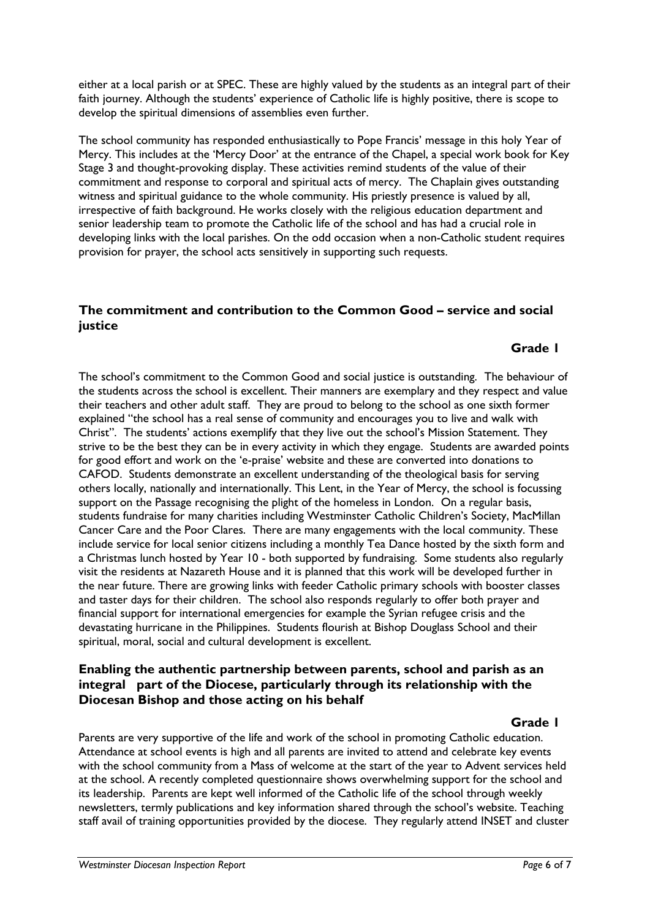either at a local parish or at SPEC. These are highly valued by the students as an integral part of their faith journey. Although the students' experience of Catholic life is highly positive, there is scope to develop the spiritual dimensions of assemblies even further.

The school community has responded enthusiastically to Pope Francis' message in this holy Year of Mercy. This includes at the 'Mercy Door' at the entrance of the Chapel, a special work book for Key Stage 3 and thought-provoking display. These activities remind students of the value of their commitment and response to corporal and spiritual acts of mercy. The Chaplain gives outstanding witness and spiritual guidance to the whole community. His priestly presence is valued by all, irrespective of faith background. He works closely with the religious education department and senior leadership team to promote the Catholic life of the school and has had a crucial role in developing links with the local parishes. On the odd occasion when a non-Catholic student requires provision for prayer, the school acts sensitively in supporting such requests.

#### **The commitment and contribution to the Common Good – service and social justice**

#### **Grade 1**

The school's commitment to the Common Good and social justice is outstanding. The behaviour of the students across the school is excellent. Their manners are exemplary and they respect and value their teachers and other adult staff. They are proud to belong to the school as one sixth former explained "the school has a real sense of community and encourages you to live and walk with Christ". The students' actions exemplify that they live out the school's Mission Statement. They strive to be the best they can be in every activity in which they engage. Students are awarded points for good effort and work on the 'e-praise' website and these are converted into donations to CAFOD. Students demonstrate an excellent understanding of the theological basis for serving others locally, nationally and internationally. This Lent, in the Year of Mercy, the school is focussing support on the Passage recognising the plight of the homeless in London. On a regular basis, students fundraise for many charities including Westminster Catholic Children's Society, MacMillan Cancer Care and the Poor Clares. There are many engagements with the local community. These include service for local senior citizens including a monthly Tea Dance hosted by the sixth form and a Christmas lunch hosted by Year 10 - both supported by fundraising. Some students also regularly visit the residents at Nazareth House and it is planned that this work will be developed further in the near future. There are growing links with feeder Catholic primary schools with booster classes and taster days for their children. The school also responds regularly to offer both prayer and financial support for international emergencies for example the Syrian refugee crisis and the devastating hurricane in the Philippines. Students flourish at Bishop Douglass School and their spiritual, moral, social and cultural development is excellent.

#### **Enabling the authentic partnership between parents, school and parish as an integral part of the Diocese, particularly through its relationship with the Diocesan Bishop and those acting on his behalf**

#### **Grade 1**

Parents are very supportive of the life and work of the school in promoting Catholic education. Attendance at school events is high and all parents are invited to attend and celebrate key events with the school community from a Mass of welcome at the start of the year to Advent services held at the school. A recently completed questionnaire shows overwhelming support for the school and its leadership. Parents are kept well informed of the Catholic life of the school through weekly newsletters, termly publications and key information shared through the school's website. Teaching staff avail of training opportunities provided by the diocese. They regularly attend INSET and cluster